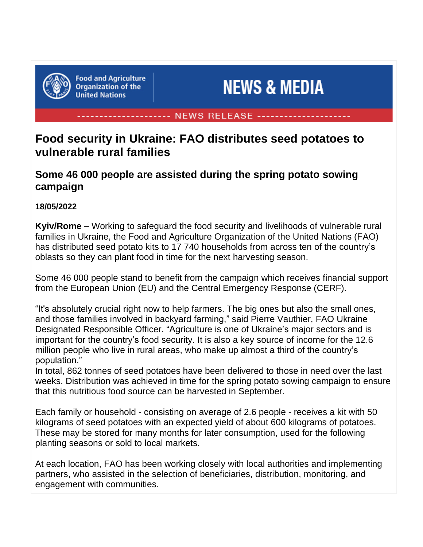

**Food and Agriculture Organization of the United Nations** 

# **NEWS & MEDIA**

#### **NEWS RELEASE**

# **Food security in Ukraine: FAO distributes seed potatoes to vulnerable rural families**

## **Some 46 000 people are assisted during the spring potato sowing campaign**

#### **18/05/2022**

**Kyiv/Rome –** Working to safeguard the food security and livelihoods of vulnerable rural families in Ukraine, the Food and Agriculture Organization of the United Nations (FAO) has distributed seed potato kits to 17 740 households from across ten of the country's oblasts so they can plant food in time for the next harvesting season.

Some 46 000 people stand to benefit from the campaign which receives financial support from the European Union (EU) and the Central Emergency Response (CERF).

"It's absolutely crucial right now to help farmers. The big ones but also the small ones, and those families involved in backyard farming," said Pierre Vauthier, FAO Ukraine Designated Responsible Officer. "Agriculture is one of Ukraine's major sectors and is important for the country's food security. It is also a key source of income for the 12.6 million people who live in rural areas, who make up almost a third of the country's population."

In total, 862 tonnes of seed potatoes have been delivered to those in need over the last weeks. Distribution was achieved in time for the spring potato sowing campaign to ensure that this nutritious food source can be harvested in September.

Each family or household - consisting on average of 2.6 people - receives a kit with 50 kilograms of seed potatoes with an expected yield of about 600 kilograms of potatoes. These may be stored for many months for later consumption, used for the following planting seasons or sold to local markets.

At each location, FAO has been working closely with local authorities and implementing partners, who assisted in the selection of beneficiaries, distribution, monitoring, and engagement with communities.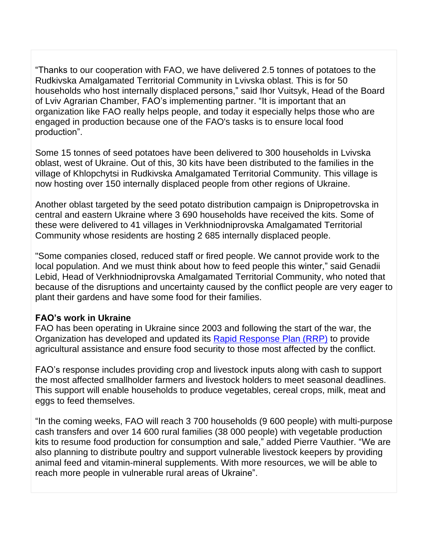"Thanks to our cooperation with FAO, we have delivered 2.5 tonnes of potatoes to the Rudkivska Amalgamated Territorial Community in Lvivska oblast. This is for 50 households who host internally displaced persons," said Ihor Vuitsyk, Head of the Board of Lviv Agrarian Chamber, FAO's implementing partner. "It is important that an organization like FAO really helps people, and today it especially helps those who are engaged in production because one of the FAO's tasks is to ensure local food production".

Some 15 tonnes of seed potatoes have been delivered to 300 households in Lvivska oblast, west of Ukraine. Out of this, 30 kits have been distributed to the families in the village of Khlopchytsi in Rudkivska Amalgamated Territorial Community. This village is now hosting over 150 internally displaced people from other regions of Ukraine.

Another oblast targeted by the seed potato distribution campaign is Dnipropetrovska in central and eastern Ukraine where 3 690 households have received the kits. Some of these were delivered to 41 villages in Verkhniodniprovska Amalgamated Territorial Community whose residents are hosting 2 685 internally displaced people.

"Some companies closed, reduced staff or fired people. We cannot provide work to the local population. And we must think about how to feed people this winter," said Genadii Lebid, Head of Verkhniodniprovska Amalgamated Territorial Community, who noted that because of the disruptions and uncertainty caused by the conflict people are very eager to plant their gardens and have some food for their families.

#### **FAO's work in Ukraine**

FAO has been operating in Ukraine since 2003 and following the start of the war, the Organization has developed and updated its Rapid [Response](https://www.fao.org/emergencies/resources/documents/resources-detail/en/c/1503638/) Plan (RRP) to provide agricultural assistance and ensure food security to those most affected by the conflict.

FAO's response includes providing crop and livestock inputs along with cash to support the most affected smallholder farmers and livestock holders to meet seasonal deadlines. This support will enable households to produce vegetables, cereal crops, milk, meat and eggs to feed themselves.

"In the coming weeks, FAO will reach 3 700 households (9 600 people) with multi-purpose cash transfers and over 14 600 rural families (38 000 people) with vegetable production kits to resume food production for consumption and sale," added Pierre Vauthier. "We are also planning to distribute poultry and support vulnerable livestock keepers by providing animal feed and vitamin-mineral supplements. With more resources, we will be able to reach more people in vulnerable rural areas of Ukraine".